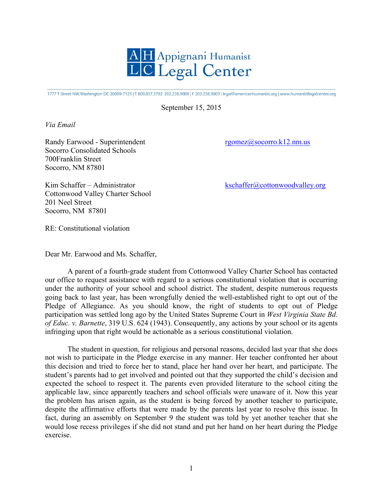

1777 T Street NW, Washington DC 20009-7125 | T 800.837.3792 202.238.9088 | F 202.238.9003 | legal@americanhumanist.org | www.humanistlegalcenter.org

September 15, 2015

*Via Email*

Randy Earwood - Superintendent rgomez@socorro.k12.nm.us Socorro Consolidated Schools 700Franklin Street Socorro, NM 87801

Kim Schaffer – Administrator kschaffer@cottonwoodvalley.org Cottonwood Valley Charter School 201 Neel Street Socorro, NM 87801

RE: Constitutional violation

Dear Mr. Earwood and Ms. Schaffer,

A parent of a fourth-grade student from Cottonwood Valley Charter School has contacted our office to request assistance with regard to a serious constitutional violation that is occurring under the authority of your school and school district. The student, despite numerous requests going back to last year, has been wrongfully denied the well-established right to opt out of the Pledge of Allegiance. As you should know, the right of students to opt out of Pledge participation was settled long ago by the United States Supreme Court in *West Virginia State Bd. of Educ. v. Barnette*, 319 U.S. 624 (1943). Consequently, any actions by your school or its agents infringing upon that right would be actionable as a serious constitutional violation.

The student in question, for religious and personal reasons, decided last year that she does not wish to participate in the Pledge exercise in any manner. Her teacher confronted her about this decision and tried to force her to stand, place her hand over her heart, and participate. The student's parents had to get involved and pointed out that they supported the child's decision and expected the school to respect it. The parents even provided literature to the school citing the applicable law, since apparently teachers and school officials were unaware of it. Now this year the problem has arisen again, as the student is being forced by another teacher to participate, despite the affirmative efforts that were made by the parents last year to resolve this issue. In fact, during an assembly on September 9 the student was told by yet another teacher that she would lose recess privileges if she did not stand and put her hand on her heart during the Pledge exercise.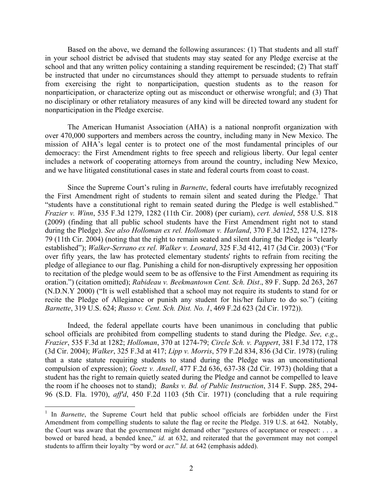Based on the above, we demand the following assurances: (1) That students and all staff in your school district be advised that students may stay seated for any Pledge exercise at the school and that any written policy containing a standing requirement be rescinded; (2) That staff be instructed that under no circumstances should they attempt to persuade students to refrain from exercising the right to nonparticipation, question students as to the reason for nonparticipation, or characterize opting out as misconduct or otherwise wrongful; and (3) That no disciplinary or other retaliatory measures of any kind will be directed toward any student for nonparticipation in the Pledge exercise.

The American Humanist Association (AHA) is a national nonprofit organization with over 470,000 supporters and members across the country, including many in New Mexico. The mission of AHA's legal center is to protect one of the most fundamental principles of our democracy: the First Amendment rights to free speech and religious liberty. Our legal center includes a network of cooperating attorneys from around the country, including New Mexico, and we have litigated constitutional cases in state and federal courts from coast to coast.

Since the Supreme Court's ruling in *Barnette*, federal courts have irrefutably recognized the First Amendment right of students to remain silent and seated during the Pledge.<sup>1</sup> That "students have a constitutional right to remain seated during the Pledge is well established." *Frazier v. Winn*, 535 F.3d 1279, 1282 (11th Cir. 2008) (per curiam), *cert. denied*, 558 U.S. 818 (2009) (finding that all public school students have the First Amendment right not to stand during the Pledge). *See also Holloman ex rel. Holloman v. Harland*, 370 F.3d 1252, 1274, 1278- 79 (11th Cir. 2004) (noting that the right to remain seated and silent during the Pledge is "clearly established"); *Walker-Serrano ex rel. Walker v. Leonard*, 325 F.3d 412, 417 (3d Cir. 2003) ("For over fifty years, the law has protected elementary students' rights to refrain from reciting the pledge of allegiance to our flag. Punishing a child for non-disruptively expressing her opposition to recitation of the pledge would seem to be as offensive to the First Amendment as requiring its oration.") (citation omitted); *Rabideau v. Beekmantown Cent. Sch. Dist*., 89 F. Supp. 2d 263, 267 (N.D.N.Y 2000) ("It is well established that a school may not require its students to stand for or recite the Pledge of Allegiance or punish any student for his/her failure to do so.") (citing *Barnette*, 319 U.S. 624; *Russo v. Cent. Sch. Dist. No. 1*, 469 F.2d 623 (2d Cir. 1972)).

Indeed, the federal appellate courts have been unanimous in concluding that public school officials are prohibited from compelling students to stand during the Pledge. *See, e.g*., *Frazier*, 535 F.3d at 1282; *Holloman*, 370 at 1274-79; *Circle Sch. v. Pappert*, 381 F.3d 172, 178 (3d Cir. 2004); *Walker*, 325 F.3d at 417; *Lipp v. Morris*, 579 F.2d 834, 836 (3d Cir. 1978) (ruling that a state statute requiring students to stand during the Pledge was an unconstitutional compulsion of expression); *Goetz v. Ansell*, 477 F.2d 636, 637-38 (2d Cir. 1973) (holding that a student has the right to remain quietly seated during the Pledge and cannot be compelled to leave the room if he chooses not to stand); *Banks v. Bd. of Public Instruction*, 314 F. Supp. 285, 294- 96 (S.D. Fla. 1970), *aff'd*, 450 F.2d 1103 (5th Cir. 1971) (concluding that a rule requiring

<sup>&</sup>lt;sup>1</sup> In *Barnette*, the Supreme Court held that public school officials are forbidden under the First Amendment from compelling students to salute the flag or recite the Pledge. 319 U.S. at 642. Notably, the Court was aware that the government might demand other "gestures of acceptance or respect: . . . a bowed or bared head, a bended knee," *id.* at 632, and reiterated that the government may not compel students to affirm their loyalty "by word or *act*." *Id*. at 642 (emphasis added).